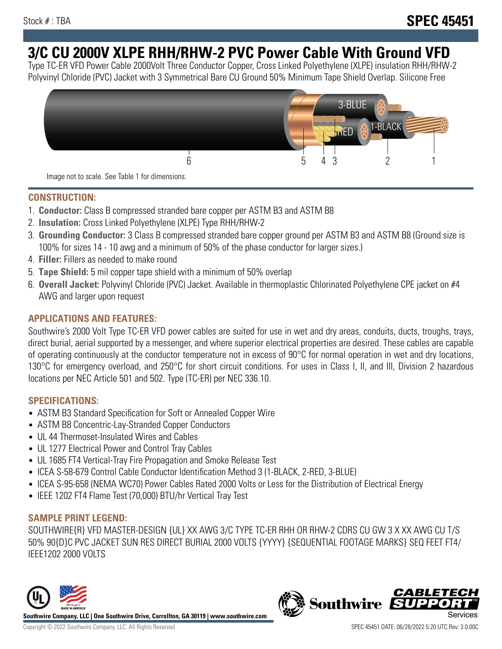# **3/C CU 2000V XLPE RHH/RHW-2 PVC Power Cable With Ground VFD**

Type TC-ER VFD Power Cable 2000Volt Three Conductor Copper, Cross Linked Polyethylene (XLPE) insulation RHH/RHW-2 Polyvinyl Chloride (PVC) Jacket with 3 Symmetrical Bare CU Ground 50% Minimum Tape Shield Overlap. Silicone Free



Image not to scale. See Table 1 for dimensions.

### **CONSTRUCTION:**

- 1. **Conductor:** Class B compressed stranded bare copper per ASTM B3 and ASTM B8
- 2. **Insulation:** Cross Linked Polyethylene (XLPE) Type RHH/RHW-2
- 3. **Grounding Conductor:** 3 Class B compressed stranded bare copper ground per ASTM B3 and ASTM B8 (Ground size is 100% for sizes 14 - 10 awg and a minimum of 50% of the phase conductor for larger sizes.)
- 4. **Filler:** Fillers as needed to make round
- 5. **Tape Shield:** 5 mil copper tape shield with a minimum of 50% overlap
- 6. **Overall Jacket:** Polyvinyl Chloride (PVC) Jacket. Available in thermoplastic Chlorinated Polyethylene CPE jacket on #4 AWG and larger upon request

### **APPLICATIONS AND FEATURES:**

Southwire's 2000 Volt Type TC-ER VFD power cables are suited for use in wet and dry areas, conduits, ducts, troughs, trays, direct burial, aerial supported by a messenger, and where superior electrical properties are desired. These cables are capable of operating continuously at the conductor temperature not in excess of 90°C for normal operation in wet and dry locations, 130°C for emergency overload, and 250°C for short circuit conditions. For uses in Class I, II, and III, Division 2 hazardous locations per NEC Article 501 and 502. Type (TC-ER) per NEC 336.10.

#### **SPECIFICATIONS:**

- ASTM B3 Standard Specification for Soft or Annealed Copper Wire
- ASTM B8 Concentric-Lay-Stranded Copper Conductors
- UL 44 Thermoset-Insulated Wires and Cables
- UL 1277 Electrical Power and Control Tray Cables
- UL 1685 FT4 Vertical-Tray Fire Propagation and Smoke Release Test
- ICEA S-58-679 Control Cable Conductor Identification Method 3 (1-BLACK, 2-RED, 3-BLUE)
- ICEA S-95-658 (NEMA WC70) Power Cables Rated 2000 Volts or Less for the Distribution of Electrical Energy
- IEEE 1202 FT4 Flame Test (70,000) BTU/hr Vertical Tray Test

#### **SAMPLE PRINT LEGEND:**

SOUTHWIRE{R} VFD MASTER-DESIGN {UL} XX AWG 3/C TYPE TC-ER RHH OR RHW-2 CDRS CU GW 3 X XX AWG CU T/S 50% 90{D}C PVC JACKET SUN RES DIRECT BURIAL 2000 VOLTS {YYYY} {SEQUENTIAL FOOTAGE MARKS} SEQ FEET FT4/ IEEE1202 2000 VOLTS